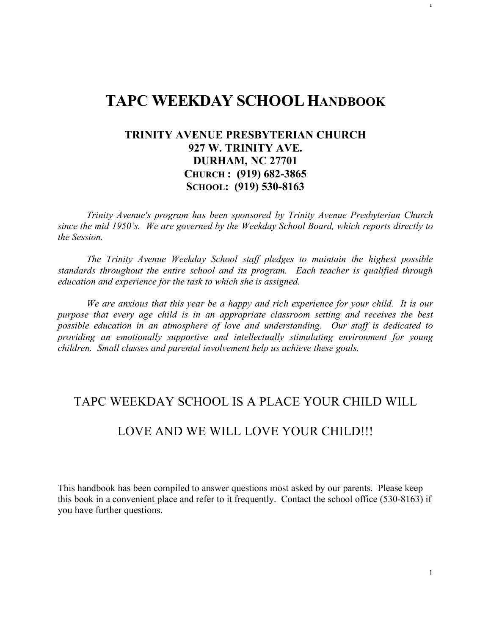# **TAPC WEEKDAY SCHOOL HANDBOOK**

## **TRINITY AVENUE PRESBYTERIAN CHURCH 927 W. TRINITY AVE. DURHAM, NC 27701 CHURCH : (919) 682-3865 SCHOOL: (919) 530-8163**

*Trinity Avenue's program has been sponsored by Trinity Avenue Presbyterian Church since the mid 1950's. We are governed by the Weekday School Board, which reports directly to the Session.* 

*The Trinity Avenue Weekday School staff pledges to maintain the highest possible standards throughout the entire school and its program. Each teacher is qualified through education and experience for the task to which she is assigned.*

*We are anxious that this year be a happy and rich experience for your child. It is our purpose that every age child is in an appropriate classroom setting and receives the best possible education in an atmosphere of love and understanding. Our staff is dedicated to providing an emotionally supportive and intellectually stimulating environment for young children. Small classes and parental involvement help us achieve these goals.*

## TAPC WEEKDAY SCHOOL IS A PLACE YOUR CHILD WILL

## LOVE AND WE WILL LOVE YOUR CHILD!!!

This handbook has been compiled to answer questions most asked by our parents. Please keep this book in a convenient place and refer to it frequently. Contact the school office (530-8163) if you have further questions.

1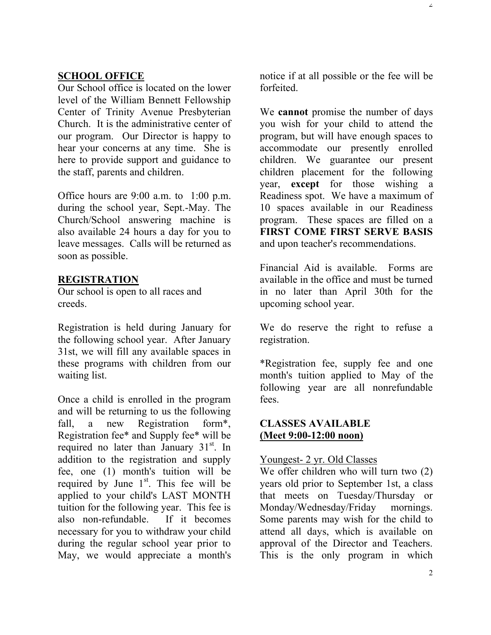### **SCHOOL OFFICE**

Our School office is located on the lower level of the William Bennett Fellowship Center of Trinity Avenue Presbyterian Church. It is the administrative center of our program. Our Director is happy to hear your concerns at any time. She is here to provide support and guidance to the staff, parents and children.

Office hours are 9:00 a.m. to 1:00 p.m. during the school year, Sept.-May. The Church/School answering machine is also available 24 hours a day for you to leave messages. Calls will be returned as soon as possible.

### **REGISTRATION**

Our school is open to all races and creeds.

Registration is held during January for the following school year. After January 31st, we will fill any available spaces in these programs with children from our waiting list.

Once a child is enrolled in the program and will be returning to us the following fall, a new Registration form\*, Registration fee\* and Supply fee\* will be required no later than January  $31<sup>st</sup>$ . In addition to the registration and supply fee, one (1) month's tuition will be required by June  $1<sup>st</sup>$ . This fee will be applied to your child's LAST MONTH tuition for the following year. This fee is also non-refundable. If it becomes necessary for you to withdraw your child during the regular school year prior to May, we would appreciate a month's

notice if at all possible or the fee will be forfeited.

We **cannot** promise the number of days you wish for your child to attend the program, but will have enough spaces to accommodate our presently enrolled children. We guarantee our present children placement for the following year, **except** for those wishing a Readiness spot. We have a maximum of 10 spaces available in our Readiness program. These spaces are filled on a **FIRST COME FIRST SERVE BASIS** and upon teacher's recommendations.

Financial Aid is available. Forms are available in the office and must be turned in no later than April 30th for the upcoming school year.

We do reserve the right to refuse a registration.

\*Registration fee, supply fee and one month's tuition applied to May of the following year are all nonrefundable fees.

## **CLASSES AVAILABLE (Meet 9:00-12:00 noon)**

#### Youngest- 2 yr. Old Classes

We offer children who will turn two (2) years old prior to September 1st, a class that meets on Tuesday/Thursday or Monday/Wednesday/Friday mornings. Some parents may wish for the child to attend all days, which is available on approval of the Director and Teachers. This is the only program in which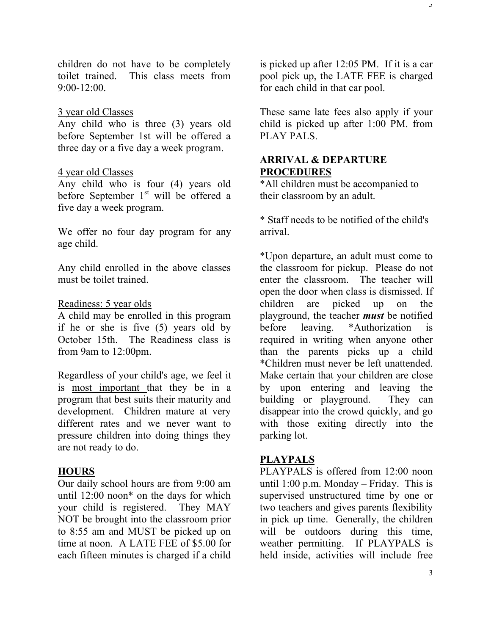children do not have to be completely toilet trained. This class meets from  $9:00-12:00$ .

#### 3 year old Classes

Any child who is three (3) years old before September 1st will be offered a three day or a five day a week program.

### 4 year old Classes

Any child who is four (4) years old before September  $1<sup>st</sup>$  will be offered a five day a week program.

We offer no four day program for any age child.

Any child enrolled in the above classes must be toilet trained.

### Readiness: 5 year olds

A child may be enrolled in this program if he or she is five (5) years old by October 15th. The Readiness class is from 9am to 12:00pm.

Regardless of your child's age, we feel it is most important that they be in a program that best suits their maturity and development. Children mature at very different rates and we never want to pressure children into doing things they are not ready to do.

### **HOURS**

Our daily school hours are from 9:00 am until 12:00 noon\* on the days for which your child is registered. They MAY NOT be brought into the classroom prior to 8:55 am and MUST be picked up on time at noon. A LATE FEE of \$5.00 for each fifteen minutes is charged if a child is picked up after 12:05 PM. If it is a car pool pick up, the LATE FEE is charged for each child in that car pool.

 $\mathfrak{I}$ 

These same late fees also apply if your child is picked up after 1:00 PM. from PLAY PALS.

## **ARRIVAL & DEPARTURE PROCEDURES**

\*All children must be accompanied to their classroom by an adult.

\* Staff needs to be notified of the child's arrival.

\*Upon departure, an adult must come to the classroom for pickup. Please do not enter the classroom. The teacher will open the door when class is dismissed. If children are picked up on the playground, the teacher *must* be notified before leaving. \*Authorization is required in writing when anyone other than the parents picks up a child \*Children must never be left unattended. Make certain that your children are close by upon entering and leaving the building or playground. They can disappear into the crowd quickly, and go with those exiting directly into the parking lot.

## **PLAYPALS**

PLAYPALS is offered from 12:00 noon until 1:00 p.m. Monday – Friday. This is supervised unstructured time by one or two teachers and gives parents flexibility in pick up time. Generally, the children will be outdoors during this time, weather permitting. If PLAYPALS is held inside, activities will include free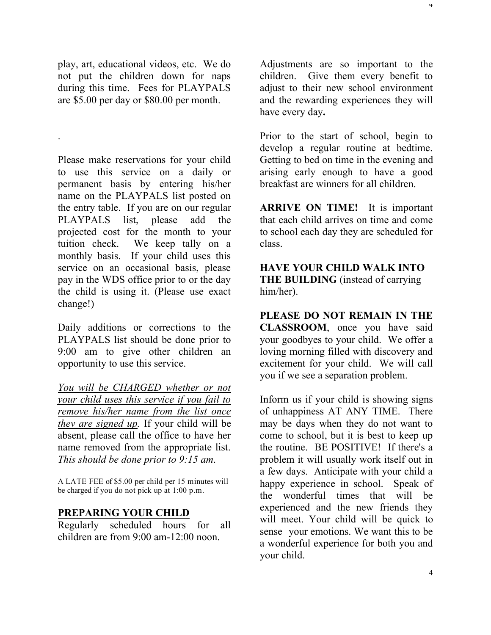play, art, educational videos, etc. We do not put the children down for naps during this time. Fees for PLAYPALS are \$5.00 per day or \$80.00 per month.

.

Please make reservations for your child to use this service on a daily or permanent basis by entering his/her name on the PLAYPALS list posted on the entry table. If you are on our regular PLAYPALS list, please add the projected cost for the month to your tuition check. We keep tally on a monthly basis. If your child uses this service on an occasional basis, please pay in the WDS office prior to or the day the child is using it. (Please use exact change!)

Daily additions or corrections to the PLAYPALS list should be done prior to 9:00 am to give other children an opportunity to use this service.

*You will be CHARGED whether or not your child uses this service if you fail to remove his/her name from the list once thev are signed up.* If your child will be absent, please call the office to have her name removed from the appropriate list. *This should be done prior to 9:15 am*.

A LATE FEE of \$5.00 per child per 15 minutes will be charged if you do not pick up at 1:00 p.m.

## **PREPARING YOUR CHILD**

Regularly scheduled hours for all children are from 9:00 am-12:00 noon.

Adjustments are so important to the children. Give them every benefit to adjust to their new school environment and the rewarding experiences they will have every day**.**

4

Prior to the start of school, begin to develop a regular routine at bedtime. Getting to bed on time in the evening and arising early enough to have a good breakfast are winners for all children.

**ARRIVE ON TIME!** It is important that each child arrives on time and come to school each day they are scheduled for class.

**HAVE YOUR CHILD WALK INTO THE BUILDING** (instead of carrying him/her).

**PLEASE DO NOT REMAIN IN THE CLASSROOM**, once you have said your goodbyes to your child. We offer a loving morning filled with discovery and excitement for your child. We will call you if we see a separation problem.

Inform us if your child is showing signs of unhappiness AT ANY TIME. There may be days when they do not want to come to school, but it is best to keep up the routine. BE POSITIVE! If there's a problem it will usually work itself out in a few days. Anticipate with your child a happy experience in school. Speak of the wonderful times that will be experienced and the new friends they will meet. Your child will be quick to sense your emotions. We want this to be a wonderful experience for both you and your child.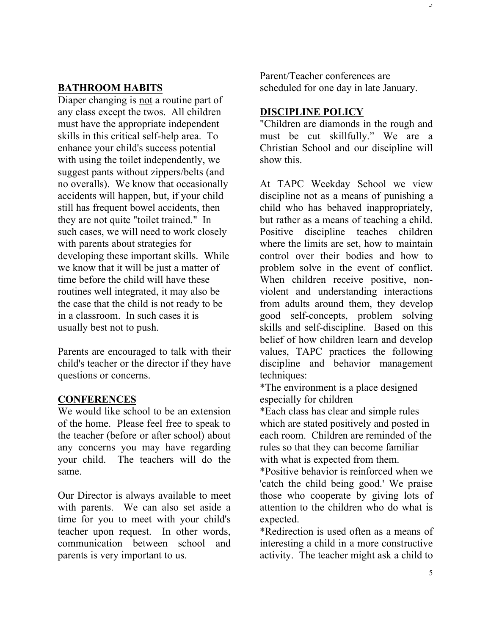## **BATHROOM HABITS**

Diaper changing is not a routine part of any class except the twos. All children must have the appropriate independent skills in this critical self-help area. To enhance your child's success potential with using the toilet independently, we suggest pants without zippers/belts (and no overalls). We know that occasionally accidents will happen, but, if your child still has frequent bowel accidents, then they are not quite "toilet trained." In such cases, we will need to work closely with parents about strategies for developing these important skills. While we know that it will be just a matter of time before the child will have these routines well integrated, it may also be the case that the child is not ready to be in a classroom. In such cases it is usually best not to push.

Parents are encouraged to talk with their child's teacher or the director if they have questions or concerns.

### **CONFERENCES**

We would like school to be an extension of the home. Please feel free to speak to the teacher (before or after school) about any concerns you may have regarding your child. The teachers will do the same.

Our Director is always available to meet with parents. We can also set aside a time for you to meet with your child's teacher upon request. In other words, communication between school and parents is very important to us.

Parent/Teacher conferences are scheduled for one day in late January.  $\upsilon$ 

### **DISCIPLINE POLICY**

"Children are diamonds in the rough and must be cut skillfully." We are a Christian School and our discipline will show this.

At TAPC Weekday School we view discipline not as a means of punishing a child who has behaved inappropriately, but rather as a means of teaching a child. Positive discipline teaches children where the limits are set, how to maintain control over their bodies and how to problem solve in the event of conflict. When children receive positive, nonviolent and understanding interactions from adults around them, they develop good self-concepts, problem solving skills and self-discipline. Based on this belief of how children learn and develop values, TAPC practices the following discipline and behavior management techniques:

\*The environment is a place designed especially for children

\*Each class has clear and simple rules which are stated positively and posted in each room. Children are reminded of the rules so that they can become familiar with what is expected from them.

\*Positive behavior is reinforced when we 'catch the child being good.' We praise those who cooperate by giving lots of attention to the children who do what is expected.

\*Redirection is used often as a means of interesting a child in a more constructive activity. The teacher might ask a child to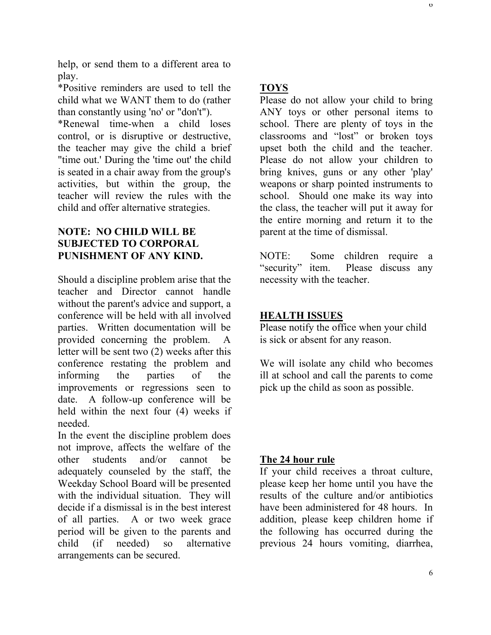help, or send them to a different area to play.

\*Positive reminders are used to tell the child what we WANT them to do (rather than constantly using 'no' or "don't").

\*Renewal time-when a child loses control, or is disruptive or destructive, the teacher may give the child a brief "time out.' During the 'time out' the child is seated in a chair away from the group's activities, but within the group, the teacher will review the rules with the child and offer alternative strategies.

## **NOTE: NO CHILD WILL BE SUBJECTED TO CORPORAL PUNISHMENT OF ANY KIND.**

Should a discipline problem arise that the teacher and Director cannot handle without the parent's advice and support, a conference will be held with all involved parties. Written documentation will be provided concerning the problem. A letter will be sent two (2) weeks after this conference restating the problem and informing the parties of the improvements or regressions seen to date. A follow-up conference will be held within the next four (4) weeks if needed.

In the event the discipline problem does not improve, affects the welfare of the other students and/or cannot be adequately counseled by the staff, the Weekday School Board will be presented with the individual situation. They will decide if a dismissal is in the best interest of all parties. A or two week grace period will be given to the parents and child (if needed) so alternative arrangements can be secured.

## **TOYS**

Please do not allow your child to bring ANY toys or other personal items to school. There are plenty of toys in the classrooms and "lost" or broken toys upset both the child and the teacher. Please do not allow your children to bring knives, guns or any other 'play' weapons or sharp pointed instruments to school. Should one make its way into the class, the teacher will put it away for the entire morning and return it to the parent at the time of dismissal.

 $\mathbf o$ 

NOTE: Some children require a "security" item. Please discuss any necessity with the teacher.

## **HEALTH ISSUES**

Please notify the office when your child is sick or absent for any reason.

We will isolate any child who becomes ill at school and call the parents to come pick up the child as soon as possible.

## **The 24 hour rule**

If your child receives a throat culture, please keep her home until you have the results of the culture and/or antibiotics have been administered for 48 hours. In addition, please keep children home if the following has occurred during the previous 24 hours vomiting, diarrhea,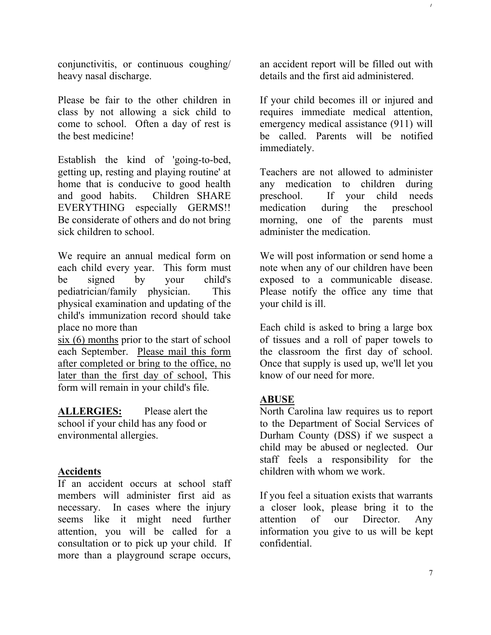conjunctivitis, or continuous coughing/ heavy nasal discharge.

Please be fair to the other children in class by not allowing a sick child to come to school. Often a day of rest is the best medicine!

Establish the kind of 'going-to-bed, getting up, resting and playing routine' at home that is conducive to good health and good habits. Children SHARE EVERYTHING especially GERMS!! Be considerate of others and do not bring sick children to school.

We require an annual medical form on each child every year. This form must be signed by your child's pediatrician/family physician. This physical examination and updating of the child's immunization record should take place no more than

six (6) months prior to the start of school each September. Please mail this form after completed or bring to the office, no later than the first day of school, This form will remain in your child's file.

**ALLERGIES:** Please alert the school if your child has any food or environmental allergies.

## **Accidents**

If an accident occurs at school staff members will administer first aid as necessary. In cases where the injury seems like it might need further attention, you will be called for a consultation or to pick up your child. If more than a playground scrape occurs,

an accident report will be filled out with details and the first aid administered.

 $\prime$ 

If your child becomes ill or injured and requires immediate medical attention, emergency medical assistance (911) will be called. Parents will be notified immediately.

Teachers are not allowed to administer any medication to children during preschool. If your child needs medication during the preschool morning, one of the parents must administer the medication.

We will post information or send home a note when any of our children have been exposed to a communicable disease. Please notify the office any time that your child is ill.

Each child is asked to bring a large box of tissues and a roll of paper towels to the classroom the first day of school. Once that supply is used up, we'll let you know of our need for more.

## **ABUSE**

North Carolina law requires us to report to the Department of Social Services of Durham County (DSS) if we suspect a child may be abused or neglected. Our staff feels a responsibility for the children with whom we work.

If you feel a situation exists that warrants a closer look, please bring it to the attention of our Director. Any information you give to us will be kept confidential.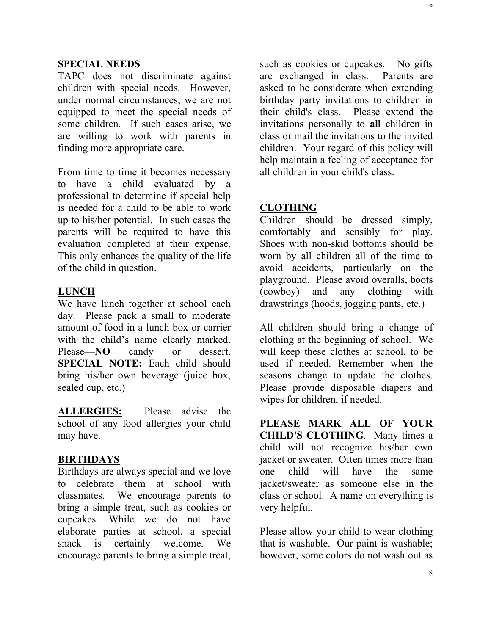#### **SPECIAL NEEDS**

TAPC does not discriminate against children with special needs. However, under normal circumstances, we are not equipped to meet the special needs of some children. If such cases arise, we are willing to work with parents in finding more appropriate care.

From time to time it becomes necessary to have a child evaluated by a professional to determine if special help is needed for a child to be able to work up to his/her potential. In such cases the parents will be required to have this evaluation completed at their expense. This only enhances the quality of the life of the child in question.

#### **LUNCH**

We have lunch together at school each day. Please pack a small to moderate amount of food in a lunch box or carrier with the child's name clearly marked. Please—**NO** candy or dessert. **SPECIAL NOTE:** Each child should bring his/her own beverage (juice box, sealed cup, etc.)

**ALLERGIES:** Please advise the school of any food allergies your child may have.

### **BIRTHDAYS**

Birthdays are always special and we love to celebrate them at school with classmates. We encourage parents to bring a simple treat, such as cookies or cupcakes. While we do not have elaborate parties at school, a special snack is certainly welcome. We encourage parents to bring a simple treat,

such as cookies or cupcakes. No gifts are exchanged in class. Parents are asked to be considerate when extending birthday party invitations to children in their child's class. Please extend the invitations personally to **all** children in class or mail the invitations to the invited children. Your regard of this policy will help maintain a feeling of acceptance for all children in your child's class.

 $\circ$ 

### **CLOTHING**

Children should be dressed simply, comfortably and sensibly for play. Shoes with non-skid bottoms should be worn by all children all of the time to avoid accidents, particularly on the playground. Please avoid overalls, boots (cowboy) and any clothing with drawstrings (hoods, jogging pants, etc.)

All children should bring a change of clothing at the beginning of school. We will keep these clothes at school, to be used if needed. Remember when the seasons change to update the clothes. Please provide disposable diapers and wipes for children, if needed.

**PLEASE MARK ALL OF YOUR CHILD'S CLOTHING**. Many times a child will not recognize his/her own jacket or sweater. Often times more than one child will have the same jacket/sweater as someone else in the class or school. A name on everything is very helpful.

Please allow your child to wear clothing that is washable. Our paint is washable; however, some colors do not wash out as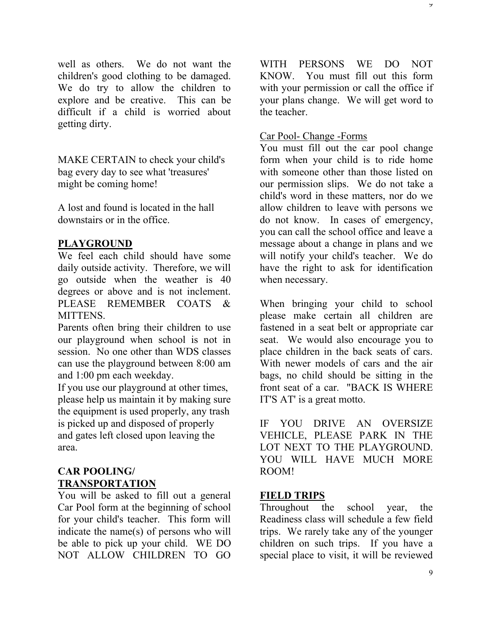well as others. We do not want the children's good clothing to be damaged. We do try to allow the children to explore and be creative. This can be difficult if a child is worried about getting dirty.

MAKE CERTAIN to check your child's bag every day to see what 'treasures' might be coming home!

A lost and found is located in the hall downstairs or in the office.

### **PLAYGROUND**

We feel each child should have some daily outside activity. Therefore, we will go outside when the weather is 40 degrees or above and is not inclement. PLEASE REMEMBER COATS & MITTENS.

Parents often bring their children to use our playground when school is not in session. No one other than WDS classes can use the playground between 8:00 am and 1:00 pm each weekday.

If you use our playground at other times, please help us maintain it by making sure the equipment is used properly, any trash is picked up and disposed of properly and gates left closed upon leaving the area.

## **CAR POOLING/ TRANSPORTATION**

You will be asked to fill out a general Car Pool form at the beginning of school for your child's teacher. This form will indicate the name(s) of persons who will be able to pick up your child. WE DO NOT ALLOW CHILDREN TO GO

WITH PERSONS WE DO NOT KNOW. You must fill out this form with your permission or call the office if your plans change. We will get word to the teacher.

 $\mathcal{I}$ 

### Car Pool- Change -Forms

You must fill out the car pool change form when your child is to ride home with someone other than those listed on our permission slips. We do not take a child's word in these matters, nor do we allow children to leave with persons we do not know. In cases of emergency, you can call the school office and leave a message about a change in plans and we will notify your child's teacher. We do have the right to ask for identification when necessary.

When bringing your child to school please make certain all children are fastened in a seat belt or appropriate car seat. We would also encourage you to place children in the back seats of cars. With newer models of cars and the air bags, no child should be sitting in the front seat of a car. "BACK IS WHERE IT'S AT' is a great motto.

IF YOU DRIVE AN OVERSIZE VEHICLE, PLEASE PARK IN THE LOT NEXT TO THE PLAYGROUND. YOU WILL HAVE MUCH MORE ROOM!

## **FIELD TRIPS**

Throughout the school year, the Readiness class will schedule a few field trips. We rarely take any of the younger children on such trips. If you have a special place to visit, it will be reviewed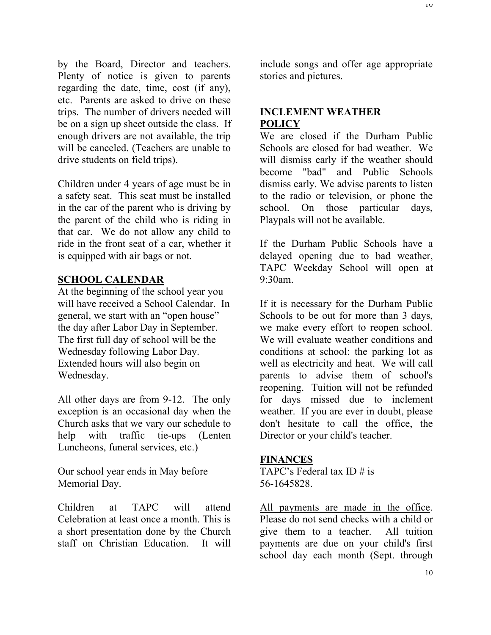by the Board, Director and teachers. Plenty of notice is given to parents regarding the date, time, cost (if any), etc. Parents are asked to drive on these trips. The number of drivers needed will be on a sign up sheet outside the class. If enough drivers are not available, the trip will be canceled. (Teachers are unable to drive students on field trips).

Children under 4 years of age must be in a safety seat. This seat must be installed in the car of the parent who is driving by the parent of the child who is riding in that car. We do not allow any child to ride in the front seat of a car, whether it is equipped with air bags or not.

### **SCHOOL CALENDAR**

At the beginning of the school year you will have received a School Calendar. In general, we start with an "open house" the day after Labor Day in September. The first full day of school will be the Wednesday following Labor Day. Extended hours will also begin on Wednesday.

All other days are from 9-12. The only exception is an occasional day when the Church asks that we vary our schedule to help with traffic tie-ups (Lenten Luncheons, funeral services, etc.)

Our school year ends in May before Memorial Day.

Children at TAPC will attend Celebration at least once a month. This is a short presentation done by the Church staff on Christian Education. It will

include songs and offer age appropriate stories and pictures.

## **INCLEMENT WEATHER POLICY**

We are closed if the Durham Public Schools are closed for bad weather. We will dismiss early if the weather should become "bad" and Public Schools dismiss early. We advise parents to listen to the radio or television, or phone the school. On those particular days, Playpals will not be available.

If the Durham Public Schools have a delayed opening due to bad weather, TAPC Weekday School will open at 9:30am.

If it is necessary for the Durham Public Schools to be out for more than 3 days, we make every effort to reopen school. We will evaluate weather conditions and conditions at school: the parking lot as well as electricity and heat. We will call parents to advise them of school's reopening. Tuition will not be refunded for days missed due to inclement weather. If you are ever in doubt, please don't hesitate to call the office, the Director or your child's teacher.

#### **FINANCES**

TAPC's Federal tax ID # is 56-1645828.

All payments are made in the office. Please do not send checks with a child or give them to a teacher. All tuition payments are due on your child's first school day each month (Sept. through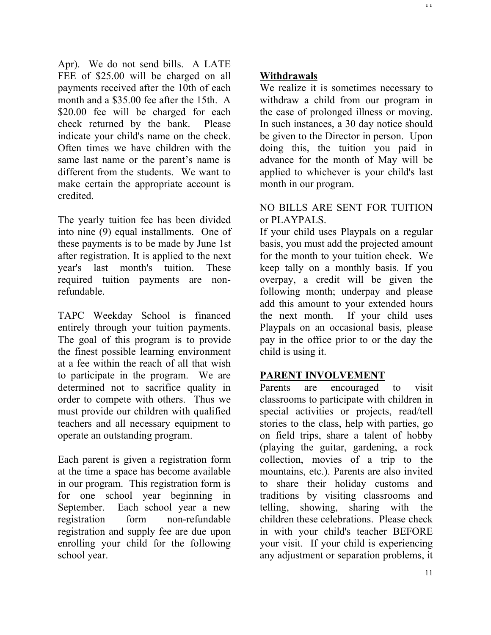Apr). We do not send bills. A LATE FEE of \$25.00 will be charged on all payments received after the 10th of each month and a \$35.00 fee after the 15th. A \$20.00 fee will be charged for each check returned by the bank. Please indicate your child's name on the check. Often times we have children with the same last name or the parent's name is different from the students. We want to make certain the appropriate account is credited.

The yearly tuition fee has been divided into nine (9) equal installments. One of these payments is to be made by June 1st after registration. It is applied to the next year's last month's tuition. These required tuition payments are nonrefundable.

TAPC Weekday School is financed entirely through your tuition payments. The goal of this program is to provide the finest possible learning environment at a fee within the reach of all that wish to participate in the program. We are determined not to sacrifice quality in order to compete with others. Thus we must provide our children with qualified teachers and all necessary equipment to operate an outstanding program.

Each parent is given a registration form at the time a space has become available in our program. This registration form is for one school year beginning in September. Each school year a new registration form non-refundable registration and supply fee are due upon enrolling your child for the following school year.

## **Withdrawals**

We realize it is sometimes necessary to withdraw a child from our program in the case of prolonged illness or moving. In such instances, a 30 day notice should be given to the Director in person. Upon doing this, the tuition you paid in advance for the month of May will be applied to whichever is your child's last month in our program.

## NO BILLS ARE SENT FOR TUITION or PLAYPALS.

If your child uses Playpals on a regular basis, you must add the projected amount for the month to your tuition check. We keep tally on a monthly basis. If you overpay, a credit will be given the following month; underpay and please add this amount to your extended hours the next month. If your child uses Playpals on an occasional basis, please pay in the office prior to or the day the child is using it.

## **PARENT INVOLVEMENT**

Parents are encouraged to visit classrooms to participate with children in special activities or projects, read/tell stories to the class, help with parties, go on field trips, share a talent of hobby (playing the guitar, gardening, a rock collection, movies of a trip to the mountains, etc.). Parents are also invited to share their holiday customs and traditions by visiting classrooms and telling, showing, sharing with the children these celebrations. Please check in with your child's teacher BEFORE your visit. If your child is experiencing any adjustment or separation problems, it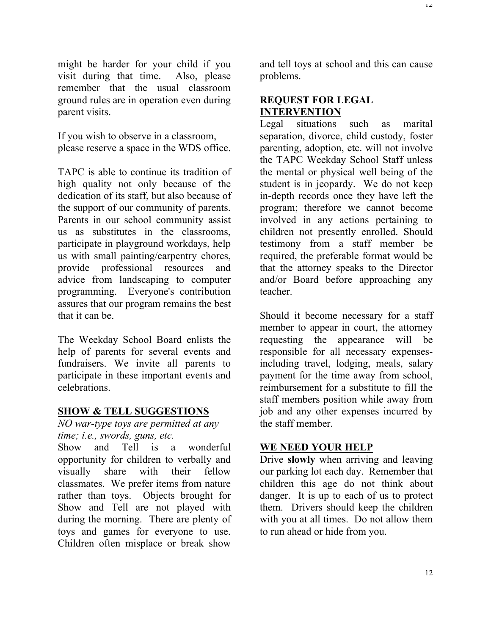might be harder for your child if you visit during that time. Also, please remember that the usual classroom ground rules are in operation even during parent visits.

If you wish to observe in a classroom, please reserve a space in the WDS office.

TAPC is able to continue its tradition of high quality not only because of the dedication of its staff, but also because of the support of our community of parents. Parents in our school community assist us as substitutes in the classrooms, participate in playground workdays, help us with small painting/carpentry chores, provide professional resources and advice from landscaping to computer programming. Everyone's contribution assures that our program remains the best that it can be.

The Weekday School Board enlists the help of parents for several events and fundraisers. We invite all parents to participate in these important events and celebrations.

## **SHOW & TELL SUGGESTIONS**

## *NO war-type toys are permitted at any time; i.e., swords, guns, etc.*

Show and Tell is a wonderful opportunity for children to verbally and visually share with their fellow classmates. We prefer items from nature rather than toys. Objects brought for Show and Tell are not played with during the morning. There are plenty of toys and games for everyone to use. Children often misplace or break show

and tell toys at school and this can cause problems.

## **REQUEST FOR LEGAL INTERVENTION**

Legal situations such as marital separation, divorce, child custody, foster parenting, adoption, etc. will not involve the TAPC Weekday School Staff unless the mental or physical well being of the student is in jeopardy. We do not keep in-depth records once they have left the program; therefore we cannot become involved in any actions pertaining to children not presently enrolled. Should testimony from a staff member be required, the preferable format would be that the attorney speaks to the Director and/or Board before approaching any teacher.

Should it become necessary for a staff member to appear in court, the attorney requesting the appearance will be responsible for all necessary expensesincluding travel, lodging, meals, salary payment for the time away from school, reimbursement for a substitute to fill the staff members position while away from job and any other expenses incurred by the staff member.

### **WE NEED YOUR HELP**

Drive **slowly** when arriving and leaving our parking lot each day. Remember that children this age do not think about danger. It is up to each of us to protect them. Drivers should keep the children with you at all times. Do not allow them to run ahead or hide from you.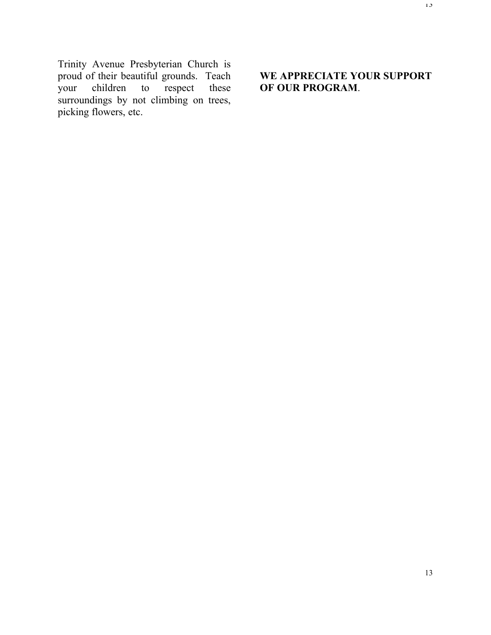Trinity Avenue Presbyterian Church is proud of their beautiful grounds. Teach your children to respect these surroundings by not climbing on trees, picking flowers, etc.

## **WE APPRECIATE YOUR SUPPORT OF OUR PROGRAM**.